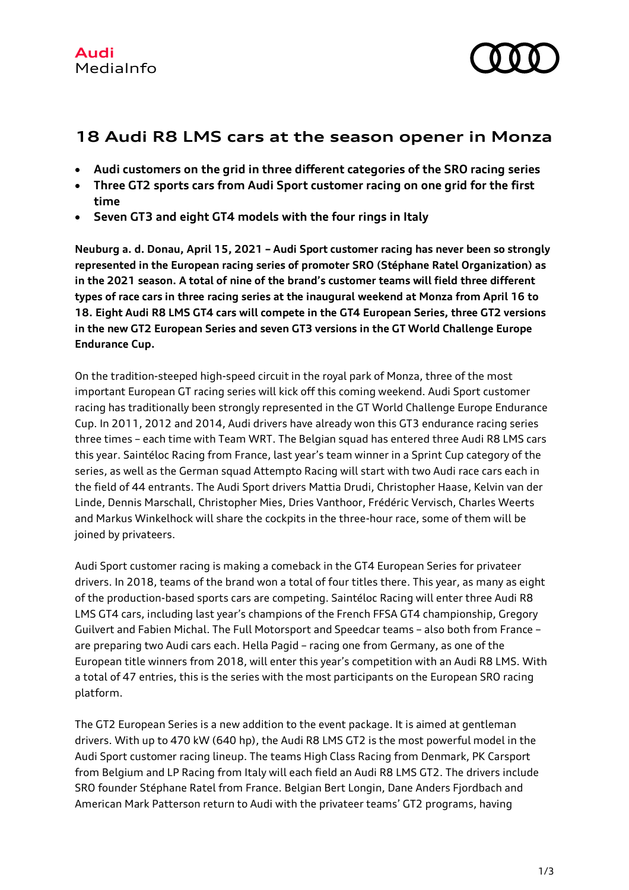

# **18 Audi R8 LMS cars at the season opener in Monza**

- **Audi customers on the grid in three different categories of the SRO racing series**
- **Three GT2 sports cars from Audi Sport customer racing on one grid for the first time**
- **Seven GT3 and eight GT4 models with the four rings in Italy**

**Neuburg a. d. Donau, April 15, 2021 – Audi Sport customer racing has never been so strongly represented in the European racing series of promoter SRO (Stéphane Ratel Organization) as in the 2021 season. A total of nine of the brand's customer teams will field three different types of race cars in three racing series at the inaugural weekend at Monza from April 16 to 18. Eight Audi R8 LMS GT4 cars will compete in the GT4 European Series, three GT2 versions in the new GT2 European Series and seven GT3 versions in the GT World Challenge Europe Endurance Cup.**

On the tradition-steeped high-speed circuit in the royal park of Monza, three of the most important European GT racing series will kick off this coming weekend. Audi Sport customer racing has traditionally been strongly represented in the GT World Challenge Europe Endurance Cup. In 2011, 2012 and 2014, Audi drivers have already won this GT3 endurance racing series three times – each time with Team WRT. The Belgian squad has entered three Audi R8 LMS cars this year. Saintéloc Racing from France, last year's team winner in a Sprint Cup category of the series, as well as the German squad Attempto Racing will start with two Audi race cars each in the field of 44 entrants. The Audi Sport drivers Mattia Drudi, Christopher Haase, Kelvin van der Linde, Dennis Marschall, Christopher Mies, Dries Vanthoor, Frédéric Vervisch, Charles Weerts and Markus Winkelhock will share the cockpits in the three-hour race, some of them will be joined by privateers.

Audi Sport customer racing is making a comeback in the GT4 European Series for privateer drivers. In 2018, teams of the brand won a total of four titles there. This year, as many as eight of the production-based sports cars are competing. Saintéloc Racing will enter three Audi R8 LMS GT4 cars, including last year's champions of the French FFSA GT4 championship, Gregory Guilvert and Fabien Michal. The Full Motorsport and Speedcar teams – also both from France – are preparing two Audi cars each. Hella Pagid – racing one from Germany, as one of the European title winners from 2018, will enter this year's competition with an Audi R8 LMS. With a total of 47 entries, this is the series with the most participants on the European SRO racing platform.

The GT2 European Series is a new addition to the event package. It is aimed at gentleman drivers. With up to 470 kW (640 hp), the Audi R8 LMS GT2 is the most powerful model in the Audi Sport customer racing lineup. The teams High Class Racing from Denmark, PK Carsport from Belgium and LP Racing from Italy will each field an Audi R8 LMS GT2. The drivers include SRO founder Stéphane Ratel from France. Belgian Bert Longin, Dane Anders Fjordbach and American Mark Patterson return to Audi with the privateer teams' GT2 programs, having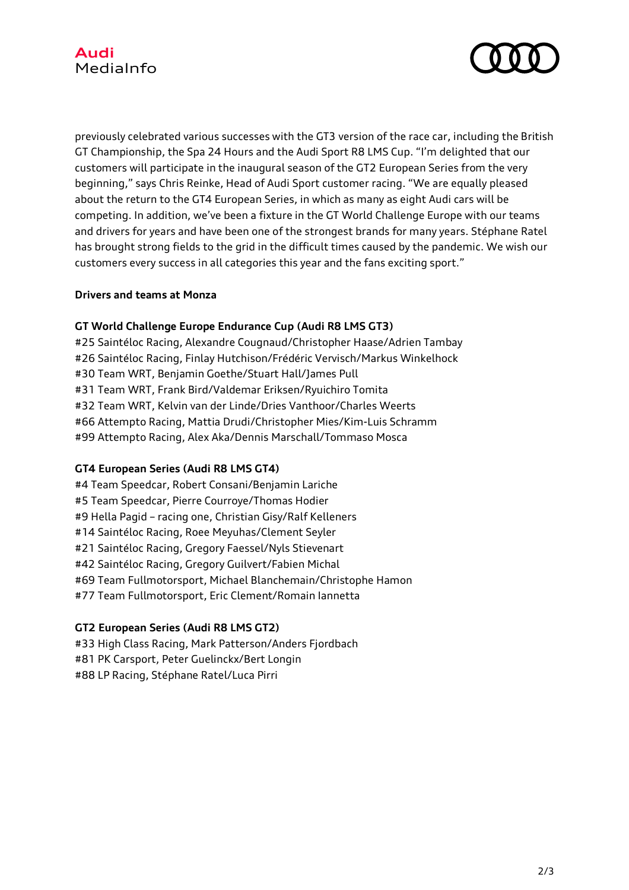



previously celebrated various successes with the GT3 version of the race car, including the British GT Championship, the Spa 24 Hours and the Audi Sport R8 LMS Cup. "I'm delighted that our customers will participate in the inaugural season of the GT2 European Series from the very beginning," says Chris Reinke, Head of Audi Sport customer racing. "We are equally pleased about the return to the GT4 European Series, in which as many as eight Audi cars will be competing. In addition, we've been a fixture in the GT World Challenge Europe with our teams and drivers for years and have been one of the strongest brands for many years. Stéphane Ratel has brought strong fields to the grid in the difficult times caused by the pandemic. We wish our customers every success in all categories this year and the fans exciting sport."

## **Drivers and teams at Monza**

## **GT World Challenge Europe Endurance Cup (Audi R8 LMS GT3)**

#25 Saintéloc Racing, Alexandre Cougnaud/Christopher Haase/Adrien Tambay #26 Saintéloc Racing, Finlay Hutchison/Frédéric Vervisch/Markus Winkelhock #30 Team WRT, Benjamin Goethe/Stuart Hall/James Pull #31 Team WRT, Frank Bird/Valdemar Eriksen/Ryuichiro Tomita #32 Team WRT, Kelvin van der Linde/Dries Vanthoor/Charles Weerts #66 Attempto Racing, Mattia Drudi/Christopher Mies/Kim-Luis Schramm #99 Attempto Racing, Alex Aka/Dennis Marschall/Tommaso Mosca

## **GT4 European Series (Audi R8 LMS GT4)**

#4 Team Speedcar, Robert Consani/Benjamin Lariche #5 Team Speedcar, Pierre Courroye/Thomas Hodier #9 Hella Pagid – racing one, Christian Gisy/Ralf Kelleners #14 Saintéloc Racing, Roee Meyuhas/Clement Seyler #21 Saintéloc Racing, Gregory Faessel/Nyls Stievenart #42 Saintéloc Racing, Gregory Guilvert/Fabien Michal #69 Team Fullmotorsport, Michael Blanchemain/Christophe Hamon #77 Team Fullmotorsport, Eric Clement/Romain Iannetta

## **GT2 European Series (Audi R8 LMS GT2)**

#33 High Class Racing, Mark Patterson/Anders Fjordbach #81 PK Carsport, Peter Guelinckx/Bert Longin #88 LP Racing, Stéphane Ratel/Luca Pirri